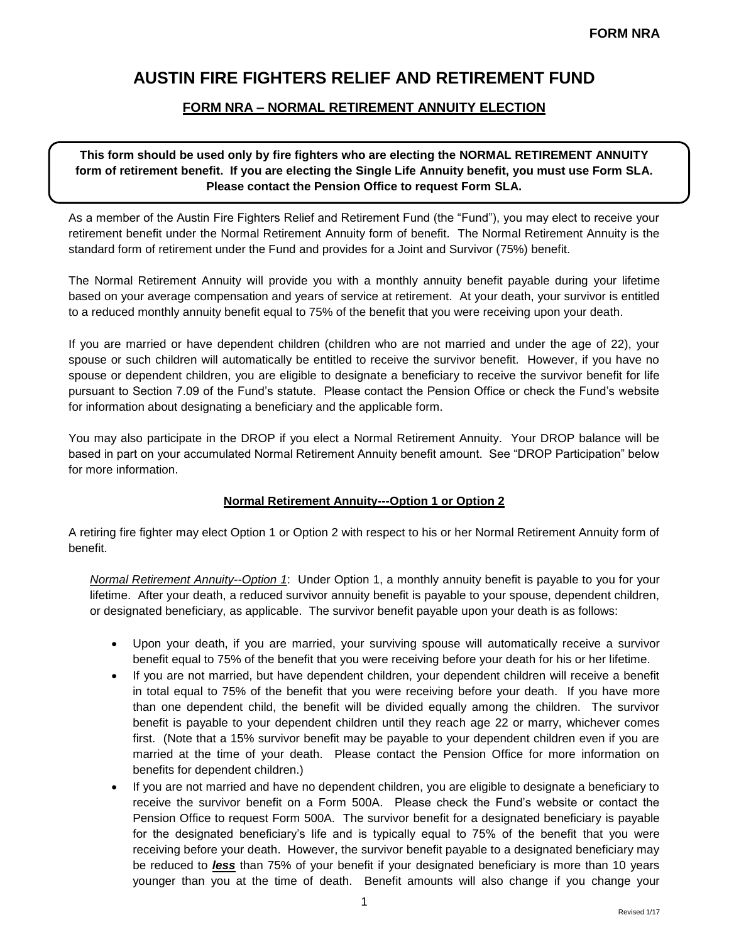# **AUSTIN FIRE FIGHTERS RELIEF AND RETIREMENT FUND**

### **FORM NRA – NORMAL RETIREMENT ANNUITY ELECTION**

**This form should be used only by fire fighters who are electing the NORMAL RETIREMENT ANNUITY form of retirement benefit. If you are electing the Single Life Annuity benefit, you must use Form SLA. Please contact the Pension Office to request Form SLA.**

As a member of the Austin Fire Fighters Relief and Retirement Fund (the "Fund"), you may elect to receive your retirement benefit under the Normal Retirement Annuity form of benefit. The Normal Retirement Annuity is the standard form of retirement under the Fund and provides for a Joint and Survivor (75%) benefit.

The Normal Retirement Annuity will provide you with a monthly annuity benefit payable during your lifetime based on your average compensation and years of service at retirement. At your death, your survivor is entitled to a reduced monthly annuity benefit equal to 75% of the benefit that you were receiving upon your death.

If you are married or have dependent children (children who are not married and under the age of 22), your spouse or such children will automatically be entitled to receive the survivor benefit. However, if you have no spouse or dependent children, you are eligible to designate a beneficiary to receive the survivor benefit for life pursuant to Section 7.09 of the Fund's statute. Please contact the Pension Office or check the Fund's website for information about designating a beneficiary and the applicable form.

You may also participate in the DROP if you elect a Normal Retirement Annuity. Your DROP balance will be based in part on your accumulated Normal Retirement Annuity benefit amount. See "DROP Participation" below for more information.

#### **Normal Retirement Annuity---Option 1 or Option 2**

A retiring fire fighter may elect Option 1 or Option 2 with respect to his or her Normal Retirement Annuity form of benefit.

*Normal Retirement Annuity--Option 1*: Under Option 1, a monthly annuity benefit is payable to you for your lifetime. After your death, a reduced survivor annuity benefit is payable to your spouse, dependent children, or designated beneficiary, as applicable. The survivor benefit payable upon your death is as follows:

- Upon your death, if you are married, your surviving spouse will automatically receive a survivor benefit equal to 75% of the benefit that you were receiving before your death for his or her lifetime.
- If you are not married, but have dependent children, your dependent children will receive a benefit in total equal to 75% of the benefit that you were receiving before your death. If you have more than one dependent child, the benefit will be divided equally among the children. The survivor benefit is payable to your dependent children until they reach age 22 or marry, whichever comes first. (Note that a 15% survivor benefit may be payable to your dependent children even if you are married at the time of your death. Please contact the Pension Office for more information on benefits for dependent children.)
- If you are not married and have no dependent children, you are eligible to designate a beneficiary to receive the survivor benefit on a Form 500A. Please check the Fund's website or contact the Pension Office to request Form 500A. The survivor benefit for a designated beneficiary is payable for the designated beneficiary's life and is typically equal to 75% of the benefit that you were receiving before your death. However, the survivor benefit payable to a designated beneficiary may be reduced to *less* than 75% of your benefit if your designated beneficiary is more than 10 years younger than you at the time of death. Benefit amounts will also change if you change your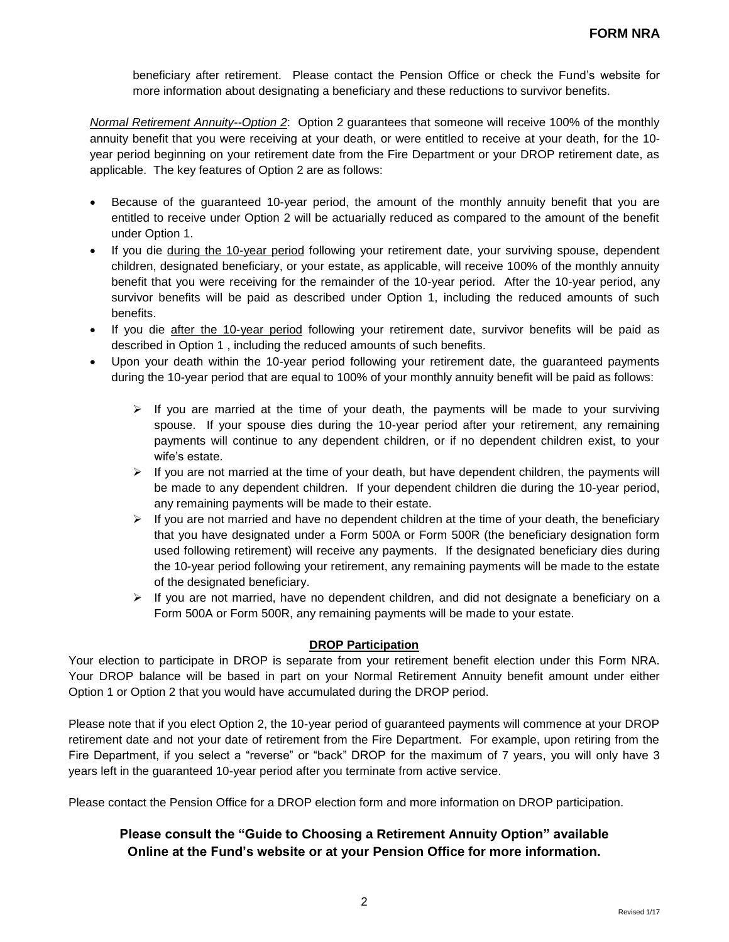beneficiary after retirement. Please contact the Pension Office or check the Fund's website for more information about designating a beneficiary and these reductions to survivor benefits.

*Normal Retirement Annuity--Option 2*: Option 2 guarantees that someone will receive 100% of the monthly annuity benefit that you were receiving at your death, or were entitled to receive at your death, for the 10 year period beginning on your retirement date from the Fire Department or your DROP retirement date, as applicable. The key features of Option 2 are as follows:

- Because of the guaranteed 10-year period, the amount of the monthly annuity benefit that you are entitled to receive under Option 2 will be actuarially reduced as compared to the amount of the benefit under Option 1.
- If you die during the 10-year period following your retirement date, your surviving spouse, dependent children, designated beneficiary, or your estate, as applicable, will receive 100% of the monthly annuity benefit that you were receiving for the remainder of the 10-year period. After the 10-year period, any survivor benefits will be paid as described under Option 1, including the reduced amounts of such benefits.
- If you die after the 10-year period following your retirement date, survivor benefits will be paid as described in Option 1 , including the reduced amounts of such benefits.
- Upon your death within the 10-year period following your retirement date, the guaranteed payments during the 10-year period that are equal to 100% of your monthly annuity benefit will be paid as follows:
	- $\triangleright$  If you are married at the time of your death, the payments will be made to your surviving spouse. If your spouse dies during the 10-year period after your retirement, any remaining payments will continue to any dependent children, or if no dependent children exist, to your wife's estate.
	- $\triangleright$  If you are not married at the time of your death, but have dependent children, the payments will be made to any dependent children. If your dependent children die during the 10-year period, any remaining payments will be made to their estate.
	- $\triangleright$  If you are not married and have no dependent children at the time of your death, the beneficiary that you have designated under a Form 500A or Form 500R (the beneficiary designation form used following retirement) will receive any payments. If the designated beneficiary dies during the 10-year period following your retirement, any remaining payments will be made to the estate of the designated beneficiary.
	- $\triangleright$  If you are not married, have no dependent children, and did not designate a beneficiary on a Form 500A or Form 500R, any remaining payments will be made to your estate.

#### **DROP Participation**

Your election to participate in DROP is separate from your retirement benefit election under this Form NRA. Your DROP balance will be based in part on your Normal Retirement Annuity benefit amount under either Option 1 or Option 2 that you would have accumulated during the DROP period.

Please note that if you elect Option 2, the 10-year period of guaranteed payments will commence at your DROP retirement date and not your date of retirement from the Fire Department. For example, upon retiring from the Fire Department, if you select a "reverse" or "back" DROP for the maximum of 7 years, you will only have 3 years left in the guaranteed 10-year period after you terminate from active service.

Please contact the Pension Office for a DROP election form and more information on DROP participation.

## **Please consult the "Guide to Choosing a Retirement Annuity Option" available Online at the Fund's website or at your Pension Office for more information.**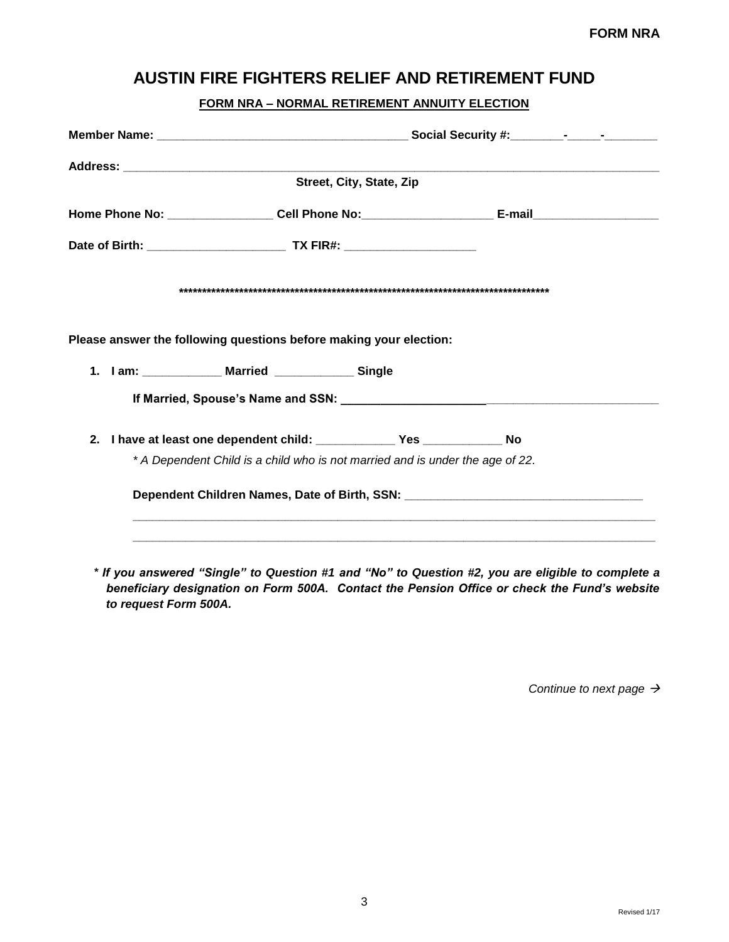# **AUSTIN FIRE FIGHTERS RELIEF AND RETIREMENT FUND**

### **FORM NRA – NORMAL RETIREMENT ANNUITY ELECTION**

| Street, City, State, Zip                                                      |  |  |  |  |
|-------------------------------------------------------------------------------|--|--|--|--|
|                                                                               |  |  |  |  |
|                                                                               |  |  |  |  |
|                                                                               |  |  |  |  |
|                                                                               |  |  |  |  |
| Please answer the following questions before making your election:            |  |  |  |  |
| 1. I am: _____________ Married _____________ Single                           |  |  |  |  |
|                                                                               |  |  |  |  |
|                                                                               |  |  |  |  |
| * A Dependent Child is a child who is not married and is under the age of 22. |  |  |  |  |
|                                                                               |  |  |  |  |
|                                                                               |  |  |  |  |

*\* If you answered "Single" to Question #1 and "No" to Question #2, you are eligible to complete a beneficiary designation on Form 500A. Contact the Pension Office or check the Fund's website to request Form 500A.* 

*Continue to next page*